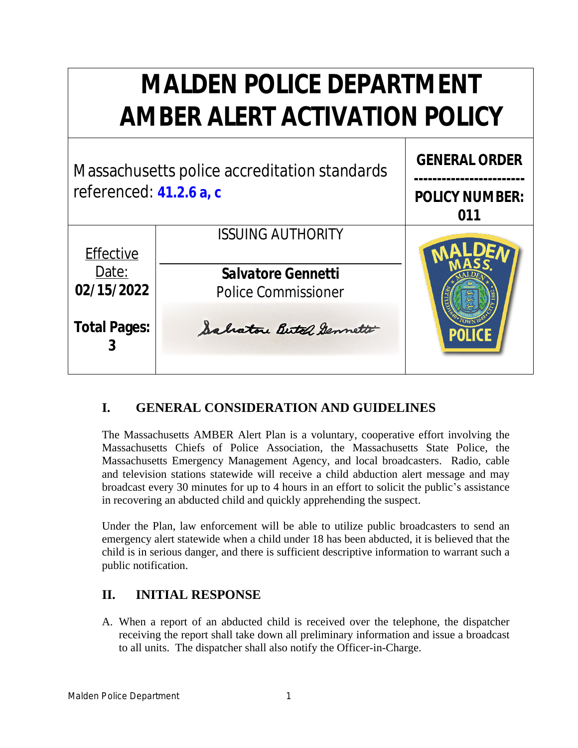# **MALDEN POLICE DEPARTMENT AMBER ALERT ACTIVATION POLICY**



### **I. GENERAL CONSIDERATION AND GUIDELINES**

The Massachusetts AMBER Alert Plan is a voluntary, cooperative effort involving the Massachusetts Chiefs of Police Association, the Massachusetts State Police, the Massachusetts Emergency Management Agency, and local broadcasters. Radio, cable and television stations statewide will receive a child abduction alert message and may broadcast every 30 minutes for up to 4 hours in an effort to solicit the public's assistance in recovering an abducted child and quickly apprehending the suspect.

Under the Plan, law enforcement will be able to utilize public broadcasters to send an emergency alert statewide when a child under 18 has been abducted, it is believed that the child is in serious danger, and there is sufficient descriptive information to warrant such a public notification.

#### **II. INITIAL RESPONSE**

A. When a report of an abducted child is received over the telephone, the dispatcher receiving the report shall take down all preliminary information and issue a broadcast to all units. The dispatcher shall also notify the Officer-in-Charge.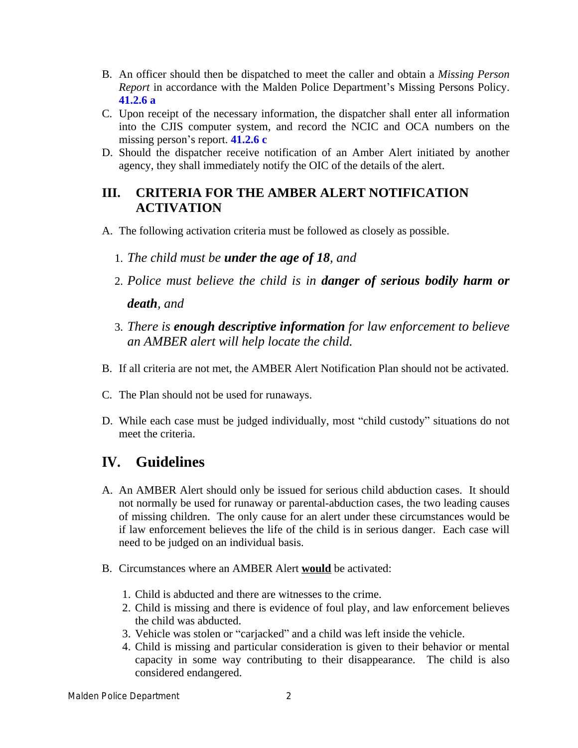- B. An officer should then be dispatched to meet the caller and obtain a *Missing Person Report* in accordance with the Malden Police Department's Missing Persons Policy. **41.2.6 a**
- C. Upon receipt of the necessary information, the dispatcher shall enter all information into the CJIS computer system, and record the NCIC and OCA numbers on the missing person's report. **41.2.6 c**
- D. Should the dispatcher receive notification of an Amber Alert initiated by another agency, they shall immediately notify the OIC of the details of the alert.

#### **III. CRITERIA FOR THE AMBER ALERT NOTIFICATION ACTIVATION**

- A. The following activation criteria must be followed as closely as possible.
	- 1. *The child must be under the age of 18, and*
	- 2. *Police must believe the child is in danger of serious bodily harm or death, and*
	- 3. *There is enough descriptive information for law enforcement to believe an AMBER alert will help locate the child.*
- B. If all criteria are not met, the AMBER Alert Notification Plan should not be activated.
- C. The Plan should not be used for runaways.
- D. While each case must be judged individually, most "child custody" situations do not meet the criteria.

## **IV. Guidelines**

- A. An AMBER Alert should only be issued for serious child abduction cases. It should not normally be used for runaway or parental-abduction cases, the two leading causes of missing children. The only cause for an alert under these circumstances would be if law enforcement believes the life of the child is in serious danger. Each case will need to be judged on an individual basis.
- B. Circumstances where an AMBER Alert **would** be activated:
	- 1. Child is abducted and there are witnesses to the crime.
	- 2. Child is missing and there is evidence of foul play, and law enforcement believes the child was abducted.
	- 3. Vehicle was stolen or "carjacked" and a child was left inside the vehicle.
	- 4. Child is missing and particular consideration is given to their behavior or mental capacity in some way contributing to their disappearance. The child is also considered endangered.